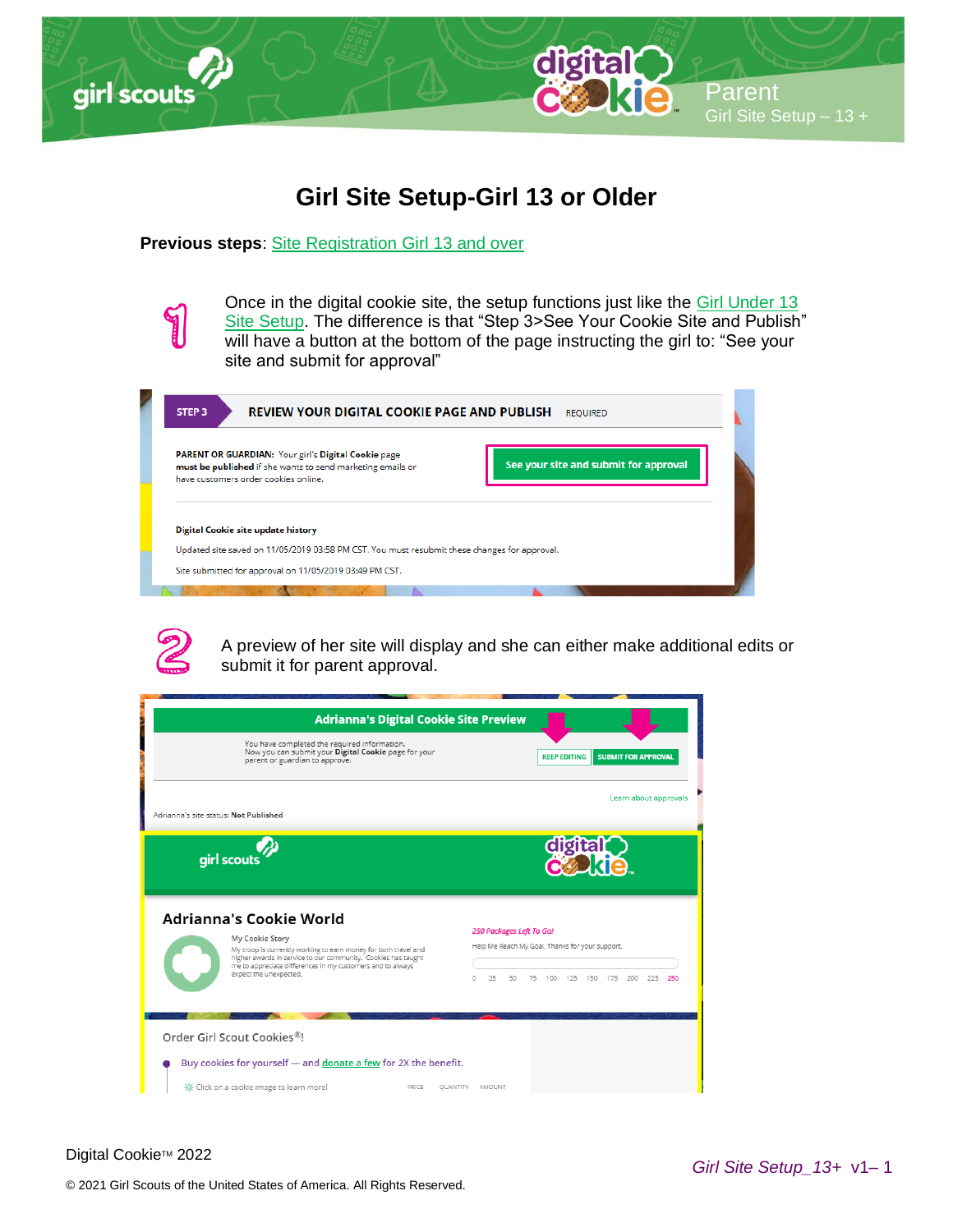

## **Girl Site Setup-Girl 13 or Older**

## **Previous steps**: [Site Registration Girl 13 and over](http://www.girlscouts.org/dc2016-206)

Once in the digital cookie site, the setup functions just like the [Girl Under 13](http://www.girlscouts.org/dc2016-215)  [Site Setup.](http://www.girlscouts.org/dc2016-215) The difference is that "Step 3>See Your Cookie Site and Publish" will have a button at the bottom of the page instructing the girl to: "See your site and submit for approval"

**REVIEW YOUR DIGITAL COOKIE PAGE AND PUBLISH REQUIRED** STEP<sub>3</sub> PARENT OR GUARDIAN: Your girl's Digital Cookie page See your site and submit for approval must be published if she wants to send marketing emails or have customers order cookies online. Digital Cookie site update history Updated site saved on 11/05/2019 03:58 PM CST. You must resubmit these changes for approval. Site submitted for approval on 11/05/2019 03:49 PM CST.



A preview of her site will display and she can either make additional edits or submit it for parent approval.

|                                       | <b>Adrianna's Digital Cookie Site Preview</b>                                                                                                                                                                                                                                 |   |        |                                |    |                                                                            |                            |                       |     |
|---------------------------------------|-------------------------------------------------------------------------------------------------------------------------------------------------------------------------------------------------------------------------------------------------------------------------------|---|--------|--------------------------------|----|----------------------------------------------------------------------------|----------------------------|-----------------------|-----|
|                                       | You have completed the required information.<br>Now you can submit your Digital Cookie page for your<br>parent or guardian to approve.                                                                                                                                        |   |        |                                |    | <b>KEEP EDITING</b>                                                        | <b>SUBMIT FOR APPROVAL</b> |                       |     |
| Adrianna's site status: Not Published |                                                                                                                                                                                                                                                                               |   |        |                                |    |                                                                            |                            | Learn about approvals |     |
|                                       | girl scouts                                                                                                                                                                                                                                                                   |   |        |                                |    | dıgıta                                                                     |                            |                       |     |
|                                       | <b>Adrianna's Cookie World</b><br>My Cookie Story<br>My troop is currently working to earn money for both travel and<br>higher awards in service to our community. Cookies has taught<br>me to appreciate differences in my customers and to always<br>expect the unexpected. | Ω | 25     | 250 Packages Left To Go!<br>50 | 75 | Help Me Reach My Goal. Thanks for your support.<br>100 125 150 175 200 225 |                            |                       | 250 |
|                                       | Order Girl Scout Cookies <sup>®!</sup><br>Buy cookies for yourself — and donate a few for 2X the benefit.<br>米 Click on a cookie image to learn more!<br>PRICE<br><b>OUANTITY</b>                                                                                             |   | AMOUNT |                                |    |                                                                            |                            |                       |     |

Digital Cookie™ 2022